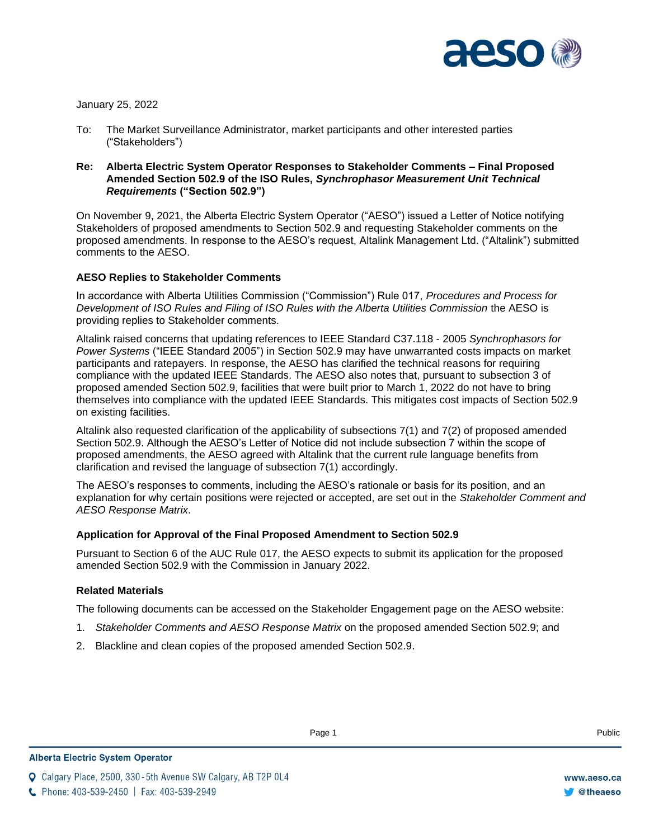

January 25, 2022

- To: The Market Surveillance Administrator, market participants and other interested parties ("Stakeholders")
- **Re: Alberta Electric System Operator Responses to Stakeholder Comments – Final Proposed Amended Section 502.9 of the ISO Rules,** *Synchrophasor Measurement Unit Technical Requirements* **("Section 502.9")**

On November 9, 2021, the Alberta Electric System Operator ("AESO") issued a Letter of Notice notifying Stakeholders of proposed amendments to Section 502.9 and requesting Stakeholder comments on the proposed amendments. In response to the AESO's request, Altalink Management Ltd. ("Altalink") submitted comments to the AESO.

### **AESO Replies to Stakeholder Comments**

In accordance with Alberta Utilities Commission ("Commission") Rule 017, *Procedures and Process for Development of ISO Rules and Filing of ISO Rules with the Alberta Utilities Commission* the AESO is providing replies to Stakeholder comments.

Altalink raised concerns that updating references to IEEE Standard C37.118 - 2005 *Synchrophasors for Power Systems* ("IEEE Standard 2005") in Section 502.9 may have unwarranted costs impacts on market participants and ratepayers. In response, the AESO has clarified the technical reasons for requiring compliance with the updated IEEE Standards. The AESO also notes that, pursuant to subsection 3 of proposed amended Section 502.9, facilities that were built prior to March 1, 2022 do not have to bring themselves into compliance with the updated IEEE Standards. This mitigates cost impacts of Section 502.9 on existing facilities.

Altalink also requested clarification of the applicability of subsections 7(1) and 7(2) of proposed amended Section 502.9. Although the AESO's Letter of Notice did not include subsection 7 within the scope of proposed amendments, the AESO agreed with Altalink that the current rule language benefits from clarification and revised the language of subsection 7(1) accordingly.

The AESO's responses to comments, including the AESO's rationale or basis for its position, and an explanation for why certain positions were rejected or accepted, are set out in the *Stakeholder Comment and AESO Response Matrix*.

#### **Application for Approval of the Final Proposed Amendment to Section 502.9**

Pursuant to Section 6 of the AUC Rule 017, the AESO expects to submit its application for the proposed amended Section 502.9 with the Commission in January 2022.

#### **Related Materials**

The following documents can be accessed on the Stakeholder Engagement page on the AESO website:

- 1. *Stakeholder Comments and AESO Response Matrix* on the proposed amended Section 502.9; and
- 2. Blackline and clean copies of the proposed amended Section 502.9.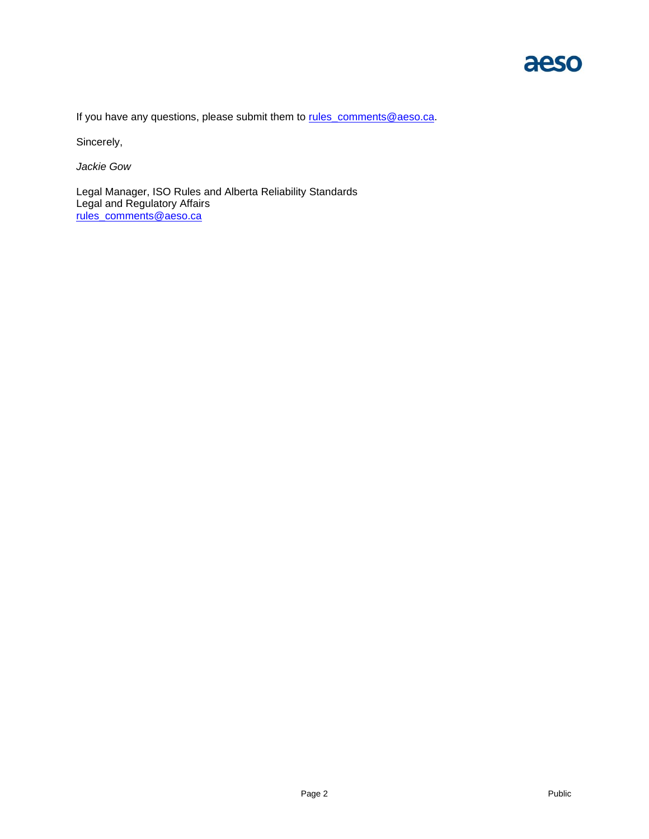

If you have any questions, please submit them to [rules\\_comments@aeso.ca.](mailto:rules_comments@aeso.ca)

Sincerely,

*Jackie Gow*

Legal Manager, ISO Rules and Alberta Reliability Standards Legal and Regulatory Affairs rules\_comments@aeso.ca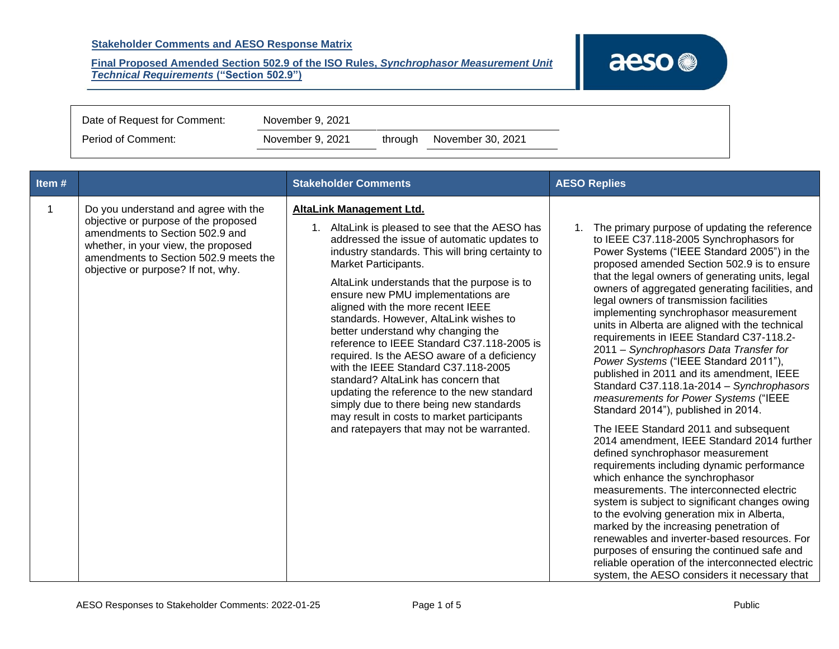

| Date of Request for Comment: | November 9, 2021 |  |                           |
|------------------------------|------------------|--|---------------------------|
| Period of Comment:           | November 9, 2021 |  | through November 30, 2021 |

| Item# |                                                                                                                                                                                                                                       | <b>Stakeholder Comments</b>                                                                                                                                                                                                                                                                                                                                                                                                                                                                                                                                                                                                                                                                                                                                                            | <b>AESO Replies</b>                                                                                                                                                                                                                                                                                                                                                                                                                                                                                                                                                                                                                                                                                                                                                                                                                                                                                                                                                                                                                                                                                                                                                                                                                                                                                                                                         |
|-------|---------------------------------------------------------------------------------------------------------------------------------------------------------------------------------------------------------------------------------------|----------------------------------------------------------------------------------------------------------------------------------------------------------------------------------------------------------------------------------------------------------------------------------------------------------------------------------------------------------------------------------------------------------------------------------------------------------------------------------------------------------------------------------------------------------------------------------------------------------------------------------------------------------------------------------------------------------------------------------------------------------------------------------------|-------------------------------------------------------------------------------------------------------------------------------------------------------------------------------------------------------------------------------------------------------------------------------------------------------------------------------------------------------------------------------------------------------------------------------------------------------------------------------------------------------------------------------------------------------------------------------------------------------------------------------------------------------------------------------------------------------------------------------------------------------------------------------------------------------------------------------------------------------------------------------------------------------------------------------------------------------------------------------------------------------------------------------------------------------------------------------------------------------------------------------------------------------------------------------------------------------------------------------------------------------------------------------------------------------------------------------------------------------------|
|       | Do you understand and agree with the<br>objective or purpose of the proposed<br>amendments to Section 502.9 and<br>whether, in your view, the proposed<br>amendments to Section 502.9 meets the<br>objective or purpose? If not, why. | <b>AltaLink Management Ltd.</b><br>1. AltaLink is pleased to see that the AESO has<br>addressed the issue of automatic updates to<br>industry standards. This will bring certainty to<br>Market Participants.<br>AltaLink understands that the purpose is to<br>ensure new PMU implementations are<br>aligned with the more recent IEEE<br>standards. However, AltaLink wishes to<br>better understand why changing the<br>reference to IEEE Standard C37.118-2005 is<br>required. Is the AESO aware of a deficiency<br>with the IEEE Standard C37.118-2005<br>standard? AltaLink has concern that<br>updating the reference to the new standard<br>simply due to there being new standards<br>may result in costs to market participants<br>and ratepayers that may not be warranted. | 1. The primary purpose of updating the reference<br>to IEEE C37.118-2005 Synchrophasors for<br>Power Systems ("IEEE Standard 2005") in the<br>proposed amended Section 502.9 is to ensure<br>that the legal owners of generating units, legal<br>owners of aggregated generating facilities, and<br>legal owners of transmission facilities<br>implementing synchrophasor measurement<br>units in Alberta are aligned with the technical<br>requirements in IEEE Standard C37-118.2-<br>2011 - Synchrophasors Data Transfer for<br>Power Systems ("IEEE Standard 2011"),<br>published in 2011 and its amendment, IEEE<br>Standard C37.118.1a-2014 - Synchrophasors<br>measurements for Power Systems ("IEEE<br>Standard 2014"), published in 2014.<br>The IEEE Standard 2011 and subsequent<br>2014 amendment, IEEE Standard 2014 further<br>defined synchrophasor measurement<br>requirements including dynamic performance<br>which enhance the synchrophasor<br>measurements. The interconnected electric<br>system is subject to significant changes owing<br>to the evolving generation mix in Alberta,<br>marked by the increasing penetration of<br>renewables and inverter-based resources. For<br>purposes of ensuring the continued safe and<br>reliable operation of the interconnected electric<br>system, the AESO considers it necessary that |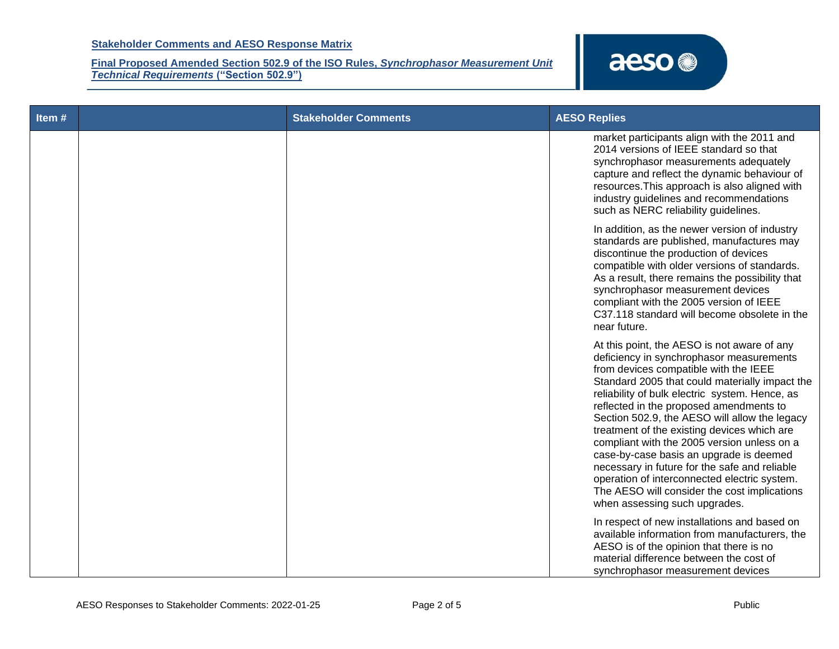

| Item# | <b>Stakeholder Comments</b> | <b>AESO Replies</b>                                                                                                                                                                                                                                                                                                                                                                                                                                                                                                                                                                                                                                         |
|-------|-----------------------------|-------------------------------------------------------------------------------------------------------------------------------------------------------------------------------------------------------------------------------------------------------------------------------------------------------------------------------------------------------------------------------------------------------------------------------------------------------------------------------------------------------------------------------------------------------------------------------------------------------------------------------------------------------------|
|       |                             | market participants align with the 2011 and<br>2014 versions of IEEE standard so that<br>synchrophasor measurements adequately<br>capture and reflect the dynamic behaviour of<br>resources. This approach is also aligned with<br>industry guidelines and recommendations<br>such as NERC reliability guidelines.                                                                                                                                                                                                                                                                                                                                          |
|       |                             | In addition, as the newer version of industry<br>standards are published, manufactures may<br>discontinue the production of devices<br>compatible with older versions of standards.<br>As a result, there remains the possibility that<br>synchrophasor measurement devices<br>compliant with the 2005 version of IEEE<br>C37.118 standard will become obsolete in the<br>near future.                                                                                                                                                                                                                                                                      |
|       |                             | At this point, the AESO is not aware of any<br>deficiency in synchrophasor measurements<br>from devices compatible with the IEEE<br>Standard 2005 that could materially impact the<br>reliability of bulk electric system. Hence, as<br>reflected in the proposed amendments to<br>Section 502.9, the AESO will allow the legacy<br>treatment of the existing devices which are<br>compliant with the 2005 version unless on a<br>case-by-case basis an upgrade is deemed<br>necessary in future for the safe and reliable<br>operation of interconnected electric system.<br>The AESO will consider the cost implications<br>when assessing such upgrades. |
|       |                             | In respect of new installations and based on<br>available information from manufacturers, the<br>AESO is of the opinion that there is no<br>material difference between the cost of<br>synchrophasor measurement devices                                                                                                                                                                                                                                                                                                                                                                                                                                    |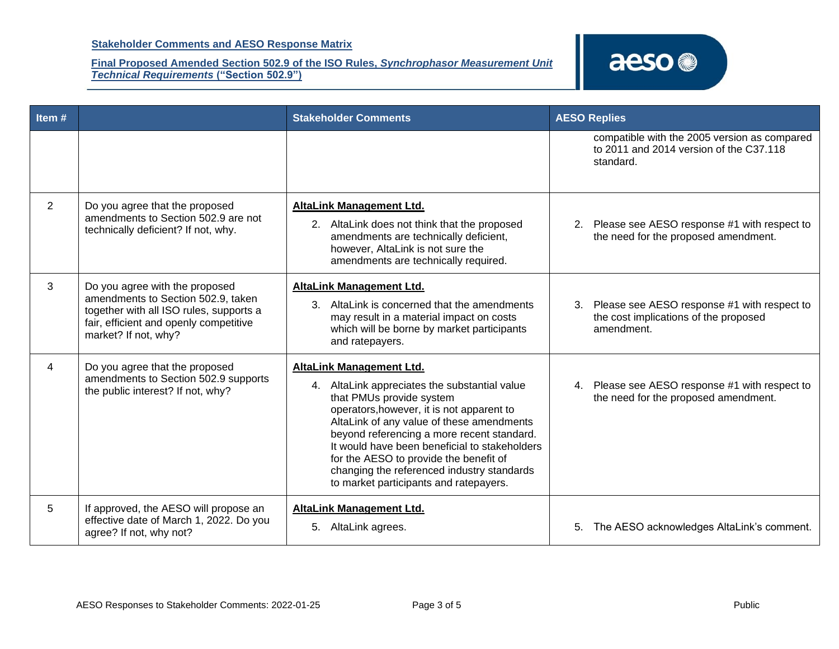

| Item# |                                                                                                                                                                                   | <b>Stakeholder Comments</b>                                                                                                                                                                                                                                                                                                                                                                                                      | <b>AESO Replies</b>                                                                                   |
|-------|-----------------------------------------------------------------------------------------------------------------------------------------------------------------------------------|----------------------------------------------------------------------------------------------------------------------------------------------------------------------------------------------------------------------------------------------------------------------------------------------------------------------------------------------------------------------------------------------------------------------------------|-------------------------------------------------------------------------------------------------------|
|       |                                                                                                                                                                                   |                                                                                                                                                                                                                                                                                                                                                                                                                                  | compatible with the 2005 version as compared<br>to 2011 and 2014 version of the C37.118<br>standard.  |
| 2     | Do you agree that the proposed<br>amendments to Section 502.9 are not<br>technically deficient? If not, why.                                                                      | <b>AltaLink Management Ltd.</b><br>2. AltaLink does not think that the proposed<br>amendments are technically deficient,<br>however, AltaLink is not sure the<br>amendments are technically required.                                                                                                                                                                                                                            | Please see AESO response #1 with respect to<br>2.<br>the need for the proposed amendment.             |
| 3     | Do you agree with the proposed<br>amendments to Section 502.9, taken<br>together with all ISO rules, supports a<br>fair, efficient and openly competitive<br>market? If not, why? | <b>AltaLink Management Ltd.</b><br>3. AltaLink is concerned that the amendments<br>may result in a material impact on costs<br>which will be borne by market participants<br>and ratepayers.                                                                                                                                                                                                                                     | 3. Please see AESO response #1 with respect to<br>the cost implications of the proposed<br>amendment. |
| 4     | Do you agree that the proposed<br>amendments to Section 502.9 supports<br>the public interest? If not, why?                                                                       | AltaLink Management Ltd.<br>4. AltaLink appreciates the substantial value<br>that PMUs provide system<br>operators, however, it is not apparent to<br>AltaLink of any value of these amendments<br>beyond referencing a more recent standard.<br>It would have been beneficial to stakeholders<br>for the AESO to provide the benefit of<br>changing the referenced industry standards<br>to market participants and ratepayers. | 4. Please see AESO response #1 with respect to<br>the need for the proposed amendment.                |
| 5     | If approved, the AESO will propose an<br>effective date of March 1, 2022. Do you<br>agree? If not, why not?                                                                       | <b>AltaLink Management Ltd.</b><br>5. AltaLink agrees.                                                                                                                                                                                                                                                                                                                                                                           | The AESO acknowledges AltaLink's comment.<br>5.                                                       |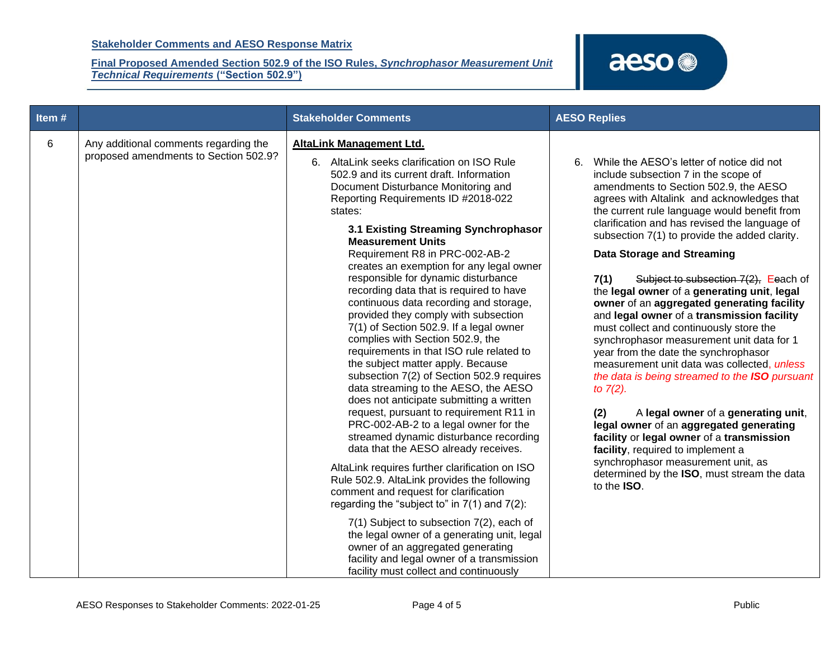

| Item# |                                                                                | <b>Stakeholder Comments</b>                                                                                                                                                                                                                                                                                                                                                                                                                                                                                                                                                                                                                                                                                                                                                                                                                                                                                                                                                                                                                                                                                                                                                                                                                                                                                                                                                                                                             | <b>AESO Replies</b>                                                                                                                                                                                                                                                                                                                                                                                                                                                                                                                                                                                                                                                                                                                                                                                                                                                                                                                                                                                                                                                                                     |
|-------|--------------------------------------------------------------------------------|-----------------------------------------------------------------------------------------------------------------------------------------------------------------------------------------------------------------------------------------------------------------------------------------------------------------------------------------------------------------------------------------------------------------------------------------------------------------------------------------------------------------------------------------------------------------------------------------------------------------------------------------------------------------------------------------------------------------------------------------------------------------------------------------------------------------------------------------------------------------------------------------------------------------------------------------------------------------------------------------------------------------------------------------------------------------------------------------------------------------------------------------------------------------------------------------------------------------------------------------------------------------------------------------------------------------------------------------------------------------------------------------------------------------------------------------|---------------------------------------------------------------------------------------------------------------------------------------------------------------------------------------------------------------------------------------------------------------------------------------------------------------------------------------------------------------------------------------------------------------------------------------------------------------------------------------------------------------------------------------------------------------------------------------------------------------------------------------------------------------------------------------------------------------------------------------------------------------------------------------------------------------------------------------------------------------------------------------------------------------------------------------------------------------------------------------------------------------------------------------------------------------------------------------------------------|
| 6     | Any additional comments regarding the<br>proposed amendments to Section 502.9? | <b>AltaLink Management Ltd.</b><br>6. AltaLink seeks clarification on ISO Rule<br>502.9 and its current draft. Information<br>Document Disturbance Monitoring and<br>Reporting Requirements ID #2018-022<br>states:<br>3.1 Existing Streaming Synchrophasor<br><b>Measurement Units</b><br>Requirement R8 in PRC-002-AB-2<br>creates an exemption for any legal owner<br>responsible for dynamic disturbance<br>recording data that is required to have<br>continuous data recording and storage,<br>provided they comply with subsection<br>7(1) of Section 502.9. If a legal owner<br>complies with Section 502.9, the<br>requirements in that ISO rule related to<br>the subject matter apply. Because<br>subsection 7(2) of Section 502.9 requires<br>data streaming to the AESO, the AESO<br>does not anticipate submitting a written<br>request, pursuant to requirement R11 in<br>PRC-002-AB-2 to a legal owner for the<br>streamed dynamic disturbance recording<br>data that the AESO already receives.<br>AltaLink requires further clarification on ISO<br>Rule 502.9. AltaLink provides the following<br>comment and request for clarification<br>regarding the "subject to" in $7(1)$ and $7(2)$ :<br>7(1) Subject to subsection 7(2), each of<br>the legal owner of a generating unit, legal<br>owner of an aggregated generating<br>facility and legal owner of a transmission<br>facility must collect and continuously | While the AESO's letter of notice did not<br>6.<br>include subsection 7 in the scope of<br>amendments to Section 502.9, the AESO<br>agrees with Altalink and acknowledges that<br>the current rule language would benefit from<br>clarification and has revised the language of<br>subsection 7(1) to provide the added clarity.<br><b>Data Storage and Streaming</b><br>7(1)<br>Subject to subsection 7(2), Eeach of<br>the legal owner of a generating unit, legal<br>owner of an aggregated generating facility<br>and legal owner of a transmission facility<br>must collect and continuously store the<br>synchrophasor measurement unit data for 1<br>year from the date the synchrophasor<br>measurement unit data was collected, unless<br>the data is being streamed to the ISO pursuant<br>to $7(2)$ .<br>A legal owner of a generating unit,<br>(2)<br>legal owner of an aggregated generating<br>facility or legal owner of a transmission<br>facility, required to implement a<br>synchrophasor measurement unit, as<br>determined by the ISO, must stream the data<br>to the <b>ISO</b> . |